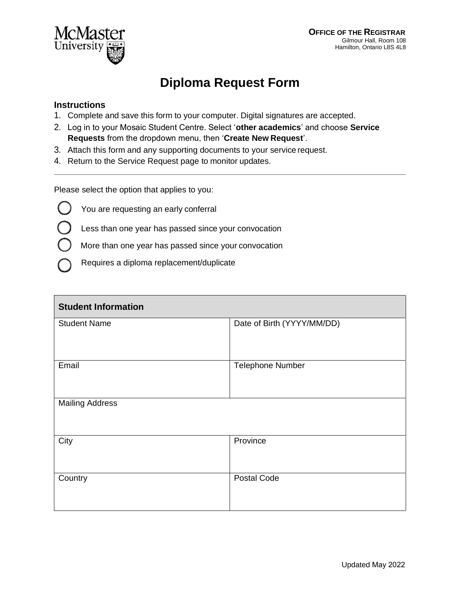

## **Diploma Request Form**

## **Instructions**

- 1. Complete and save this form to your computer. Digital signatures are accepted.
- 2. Log in to your Mosaic Student Centre. Select '**other academics**' and choose **Service Requests** from the dropdown menu, then '**Create New Request**'.
- 3. Attach this form and any supporting documents to your service request.
- 4. Return to the Service Request page to monitor updates.

Please select the option that applies to you:

- You are requesting an early conferral
- Less than one year has passed since your convocation
- More than one year has passed since your convocation
- Requires a diploma replacement/duplicate

| <b>Student Information</b> |                            |  |  |
|----------------------------|----------------------------|--|--|
| <b>Student Name</b>        | Date of Birth (YYYY/MM/DD) |  |  |
| Email                      | <b>Telephone Number</b>    |  |  |
| <b>Mailing Address</b>     |                            |  |  |
| City                       | Province                   |  |  |
| Country                    | <b>Postal Code</b>         |  |  |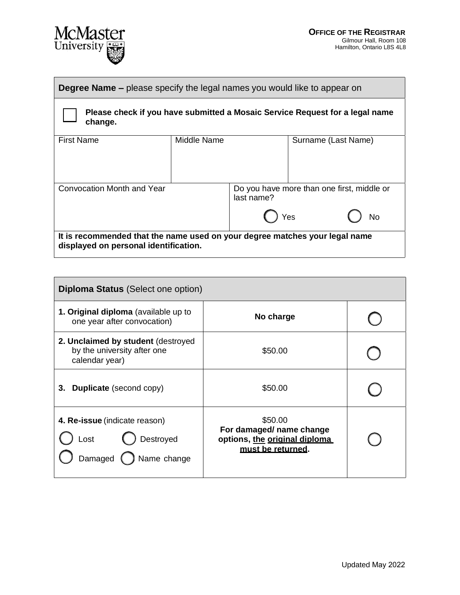

| <b>Degree Name –</b> please specify the legal names you would like to appear on                                      |             |  |                                                         |  |  |
|----------------------------------------------------------------------------------------------------------------------|-------------|--|---------------------------------------------------------|--|--|
| Please check if you have submitted a Mosaic Service Request for a legal name<br>change.                              |             |  |                                                         |  |  |
| <b>First Name</b>                                                                                                    | Middle Name |  | Surname (Last Name)                                     |  |  |
| <b>Convocation Month and Year</b>                                                                                    | last name?  |  | Do you have more than one first, middle or<br>Yes<br>No |  |  |
| It is recommended that the name used on your degree matches your legal name<br>displayed on personal identification. |             |  |                                                         |  |  |

| <b>Diploma Status</b> (Select one option)                                           |                                                                                           |  |  |  |
|-------------------------------------------------------------------------------------|-------------------------------------------------------------------------------------------|--|--|--|
| 1. Original diploma (available up to<br>one year after convocation)                 | No charge                                                                                 |  |  |  |
| 2. Unclaimed by student (destroyed<br>by the university after one<br>calendar year) | \$50.00                                                                                   |  |  |  |
| <b>Duplicate</b> (second copy)<br>3.                                                | \$50.00                                                                                   |  |  |  |
| 4. Re-issue (indicate reason)<br>Destroyed<br>Lost<br>Damaged (<br>Name change      | \$50.00<br>For damaged/ name change<br>options, the original diploma<br>must be returned. |  |  |  |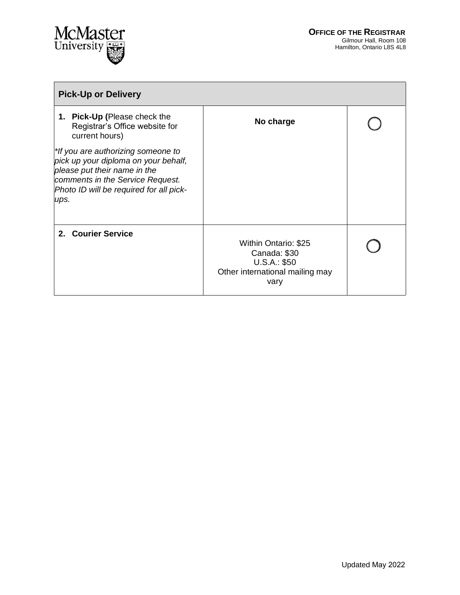

| <b>Pick-Up or Delivery</b>                                                                                                                                                                        |                                                                                                        |  |
|---------------------------------------------------------------------------------------------------------------------------------------------------------------------------------------------------|--------------------------------------------------------------------------------------------------------|--|
| 1. Pick-Up (Please check the<br>Registrar's Office website for<br>current hours)                                                                                                                  | No charge                                                                                              |  |
| *If you are authorizing someone to<br>pick up your diploma on your behalf,<br>please put their name in the<br>comments in the Service Request.<br>Photo ID will be required for all pick-<br>ups. |                                                                                                        |  |
| 2. Courier Service                                                                                                                                                                                | <b>Within Ontario: \$25</b><br>Canada: \$30<br>U.S.A.: \$50<br>Other international mailing may<br>vary |  |